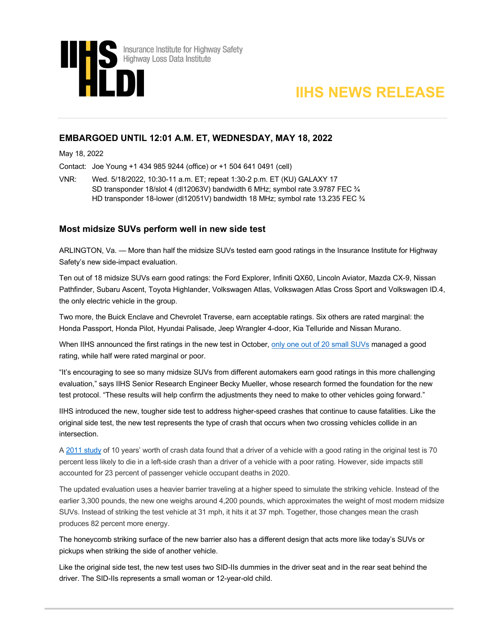



## **EMBARGOED UNTIL 12:01 A.M. ET, WEDNESDAY, MAY 18, 2022**

May 18, 2022

Contact: Joe Young +1 434 985 9244 (office) or +1 504 641 0491 (cell)

VNR: Wed. 5/18/2022, 10:30-11 a.m. ET; repeat 1:30-2 p.m. ET (KU) GALAXY 17 SD transponder 18/slot 4 (dl12063V) bandwidth 6 MHz; symbol rate 3.9787 FEC ¾ HD transponder 18-lower (dl12051V) bandwidth 18 MHz; symbol rate 13.235 FEC ¾

## **Most midsize SUVs perform well in new side test**

ARLINGTON, Va. — More than half the midsize SUVs tested earn good ratings in the Insurance Institute for Highway Safety's new side-impact evaluation.

Ten out of 18 midsize SUVs earn good ratings: the Ford Explorer, Infiniti QX60, Lincoln Aviator, Mazda CX-9, Nissan Pathfinder, Subaru Ascent, Toyota Highlander, Volkswagen Atlas, Volkswagen Atlas Cross Sport and Volkswagen ID.4, the only electric vehicle in the group.

Two more, the Buick Enclave and Chevrolet Traverse, earn acceptable ratings. Six others are rated marginal: the Honda Passport, Honda Pilot, Hyundai Palisade, Jeep Wrangler 4-door, Kia Telluride and Nissan Murano.

When IIHS announced the first ratings in the new test in Octo[ber, only one out of 20 small SUVs](https://www.iihs.org/news/detail/small-suvs-struggle-in-new-tougher-side-test) managed a good rating, while half were rated marginal or poor.

"It's encouraging to see so many midsize SUVs from different automakers earn good ratings in this more challenging evaluation," says IIHS Senior Research Engineer Becky Mueller, whose research formed the foundation for the new test protocol. "These results will help confirm the adjustments they need to make to other vehicles going forward."

IIHS introduced the new, tougher side test to address higher-speed crashes that continue to cause fatalities. Like the original side test, the new test represents the type of crash that occurs when two crossing vehicles collide in an intersection.

A [2011 study](https://www.iihs.org/news/detail/vehicles-that-earn-good-side-impact-ratings-have-lower-driver-death-risk) of 10 years' worth of crash data found that a driver of a vehicle with a good rating in the original test is 70 percent less likely to die in a left-side crash than a driver of a vehicle with a poor rating. However, side impacts still accounted for 23 percent of passenger vehicle occupant deaths in 2020.

The updated evaluation uses a heavier barrier traveling at a higher speed to simulate the striking vehicle. Instead of the earlier 3,300 pounds, the new one weighs around 4,200 pounds, which approximates the weight of most modern midsize SUVs. Instead of striking the test vehicle at 31 mph, it hits it at 37 mph. Together, those changes mean the crash produces 82 percent more energy.

The honeycomb striking surface of the new barrier also has a different design that acts more like today's SUVs or pickups when striking the side of another vehicle.

Like the original side test, the new test uses two SID-IIs dummies in the driver seat and in the rear seat behind the driver. The SID-IIs represents a small woman or 12-year-old child.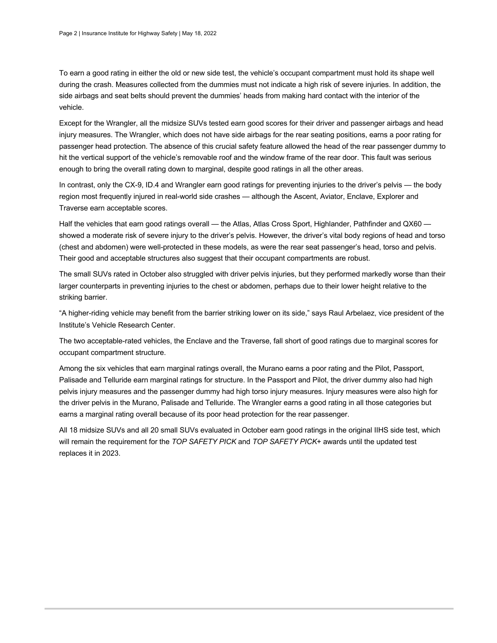To earn a good rating in either the old or new side test, the vehicle's occupant compartment must hold its shape well during the crash. Measures collected from the dummies must not indicate a high risk of severe injuries. In addition, the side airbags and seat belts should prevent the dummies' heads from making hard contact with the interior of the vehicle.

Except for the Wrangler, all the midsize SUVs tested earn good scores for their driver and passenger airbags and head injury measures. The Wrangler, which does not have side airbags for the rear seating positions, earns a poor rating for passenger head protection. The absence of this crucial safety feature allowed the head of the rear passenger dummy to hit the vertical support of the vehicle's removable roof and the window frame of the rear door. This fault was serious enough to bring the overall rating down to marginal, despite good ratings in all the other areas.

In contrast, only the CX-9, ID.4 and Wrangler earn good ratings for preventing injuries to the driver's pelvis — the body region most frequently injured in real-world side crashes — although the Ascent, Aviator, Enclave, Explorer and Traverse earn acceptable scores.

Half the vehicles that earn good ratings overall — the Atlas, Atlas Cross Sport, Highlander, Pathfinder and QX60 showed a moderate risk of severe injury to the driver's pelvis. However, the driver's vital body regions of head and torso (chest and abdomen) were well-protected in these models, as were the rear seat passenger's head, torso and pelvis. Their good and acceptable structures also suggest that their occupant compartments are robust.

The small SUVs rated in October also struggled with driver pelvis injuries, but they performed markedly worse than their larger counterparts in preventing injuries to the chest or abdomen, perhaps due to their lower height relative to the striking barrier.

"A higher-riding vehicle may benefit from the barrier striking lower on its side," says Raul Arbelaez, vice president of the Institute's Vehicle Research Center.

The two acceptable-rated vehicles, the Enclave and the Traverse, fall short of good ratings due to marginal scores for occupant compartment structure.

Among the six vehicles that earn marginal ratings overall, the Murano earns a poor rating and the Pilot, Passport, Palisade and Telluride earn marginal ratings for structure. In the Passport and Pilot, the driver dummy also had high pelvis injury measures and the passenger dummy had high torso injury measures. Injury measures were also high for the driver pelvis in the Murano, Palisade and Telluride. The Wrangler earns a good rating in all those categories but earns a marginal rating overall because of its poor head protection for the rear passenger.

All 18 midsize SUVs and all 20 small SUVs evaluated in October earn good ratings in the original IIHS side test, which will remain the requirement for the *TOP SAFETY PICK* and *TOP SAFETY PICK*+ awards until the updated test replaces it in 2023.